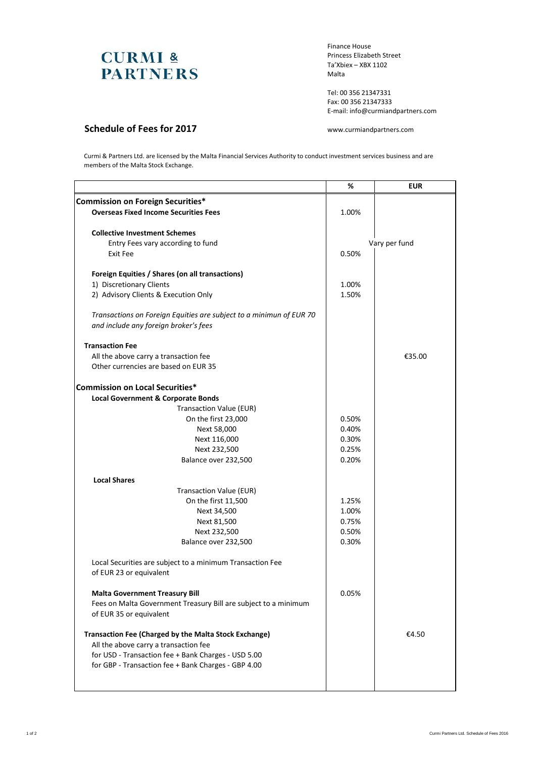## **CURMI & PARTNERS**

Finance House Princess Elizabeth Street Ta'Xbiex – XBX 1102 Malta

Tel: 00 356 21347331 Fax: 00 356 21347333 E-mail: info@curmiandpartners.com

## **Schedule of Fees for 2017**

www.curmiandpartners.com

Curmi & Partners Ltd. are licensed by the Malta Financial Services Authority to conduct investment services business and are members of the Malta Stock Exchange.

|                                                                     | ℅     | <b>EUR</b>    |
|---------------------------------------------------------------------|-------|---------------|
| <b>Commission on Foreign Securities*</b>                            |       |               |
| <b>Overseas Fixed Income Securities Fees</b>                        | 1.00% |               |
|                                                                     |       |               |
| <b>Collective Investment Schemes</b>                                |       |               |
| Entry Fees vary according to fund                                   |       | Vary per fund |
| Exit Fee                                                            | 0.50% |               |
|                                                                     |       |               |
| Foreign Equities / Shares (on all transactions)                     |       |               |
| 1) Discretionary Clients                                            | 1.00% |               |
| 2) Advisory Clients & Execution Only                                | 1.50% |               |
| Transactions on Foreign Equities are subject to a minimun of EUR 70 |       |               |
| and include any foreign broker's fees                               |       |               |
| <b>Transaction Fee</b>                                              |       |               |
| All the above carry a transaction fee                               |       | €35.00        |
| Other currencies are based on EUR 35                                |       |               |
| <b>Commission on Local Securities*</b>                              |       |               |
| <b>Local Government &amp; Corporate Bonds</b>                       |       |               |
| <b>Transaction Value (EUR)</b>                                      |       |               |
| On the first 23,000                                                 | 0.50% |               |
| Next 58,000                                                         | 0.40% |               |
| Next 116,000                                                        | 0.30% |               |
| Next 232,500                                                        | 0.25% |               |
| Balance over 232,500                                                | 0.20% |               |
| <b>Local Shares</b>                                                 |       |               |
| Transaction Value (EUR)                                             |       |               |
| On the first 11,500                                                 | 1.25% |               |
| Next 34,500                                                         | 1.00% |               |
| Next 81,500                                                         | 0.75% |               |
| Next 232,500                                                        | 0.50% |               |
| Balance over 232,500                                                | 0.30% |               |
| Local Securities are subject to a minimum Transaction Fee           |       |               |
| of EUR 23 or equivalent                                             |       |               |
| <b>Malta Government Treasury Bill</b>                               | 0.05% |               |
| Fees on Malta Government Treasury Bill are subject to a minimum     |       |               |
| of EUR 35 or equivalent                                             |       |               |
| Transaction Fee (Charged by the Malta Stock Exchange)               |       | €4.50         |
| All the above carry a transaction fee                               |       |               |
| for USD - Transaction fee + Bank Charges - USD 5.00                 |       |               |
| for GBP - Transaction fee + Bank Charges - GBP 4.00                 |       |               |
|                                                                     |       |               |
|                                                                     |       |               |